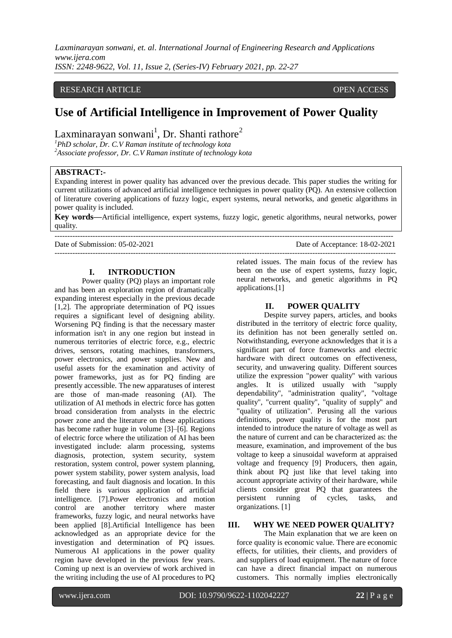## RESEARCH ARTICLE **CONSERVERS** OPEN ACCESS

# **Use of Artificial Intelligence in Improvement of Power Quality**

Laxminarayan sonwani<sup>1</sup>, Dr. Shanti rathore<sup>2</sup>

*<sup>1</sup>PhD scholar, Dr. C.V Raman institute of technology kota <sup>2</sup>Associate professor, Dr. C.V Raman institute of technology kota*

## **ABSTRACT:-**

Expanding interest in power quality has advanced over the previous decade. This paper studies the writing for current utilizations of advanced artificial intelligence techniques in power quality (PQ). An extensive collection of literature covering applications of fuzzy logic, expert systems, neural networks, and genetic algorithms in power quality is included.

**Key words—**Artificial intelligence, expert systems, fuzzy logic, genetic algorithms, neural networks, power quality.

--------------------------------------------------------------------------------------------------------------------------------------

Date of Submission: 05-02-2021 Date of Acceptance: 18-02-2021

#### **I. INTRODUCTION**

Power quality (PQ) plays an important role and has been an exploration region of dramatically expanding interest especially in the previous decade [1,2]. The appropriate determination of PQ issues requires a significant level of designing ability. Worsening PQ finding is that the necessary master information isn't in any one region but instead in numerous territories of electric force, e.g., electric drives, sensors, rotating machines, transformers, power electronics, and power supplies. New and useful assets for the examination and activity of power frameworks, just as for PQ finding are presently accessible. The new apparatuses of interest are those of man-made reasoning (AI). The utilization of AI methods in electric force has gotten broad consideration from analysts in the electric power zone and the literature on these applications has become rather huge in volume [3]–[6]. Regions of electric force where the utilization of AI has been investigated include: alarm processing, systems diagnosis, protection, system security, system restoration, system control, power system planning, power system stability, power system analysis, load forecasting, and fault diagnosis and location. In this field there is various application of artificial intelligence. [7].Power electronics and motion control are another territory where master frameworks, fuzzy logic, and neural networks have been applied [8].Artificial Intelligence has been acknowledged as an appropriate device for the investigation and determination of PQ issues. Numerous AI applications in the power quality region have developed in the previous few years. Coming up next is an overview of work archived in the writing including the use of AI procedures to PQ

-------------------------------------------------------------------------------------------------------------------------------------- related issues. The main focus of the review has been on the use of expert systems, fuzzy logic, neural networks, and genetic algorithms in PQ applications.[1]

#### **II. POWER QUALITY**

Despite survey papers, articles, and books distributed in the territory of electric force quality, its definition has not been generally settled on. Notwithstanding, everyone acknowledges that it is a significant part of force frameworks and electric hardware with direct outcomes on effectiveness, security, and unwavering quality. Different sources utilize the expression "power quality" with various angles. It is utilized usually with "supply dependability", "administration quality", "voltage quality", "current quality", "quality of supply" and "quality of utilization". Perusing all the various definitions, power quality is for the most part intended to introduce the nature of voltage as well as the nature of current and can be characterized as: the measure, examination, and improvement of the bus voltage to keep a sinusoidal waveform at appraised voltage and frequency [9] Producers, then again, think about PQ just like that level taking into account appropriate activity of their hardware, while clients consider great PQ that guarantees the persistent running of cycles, tasks, and organizations. [1]

#### **III. WHY WE NEED POWER QUALITY?**

The Main explanation that we are keen on force quality is economic value. There are economic effects, for utilities, their clients, and providers of and suppliers of load equipment. The nature of force can have a direct financial impact on numerous customers. This normally implies electronically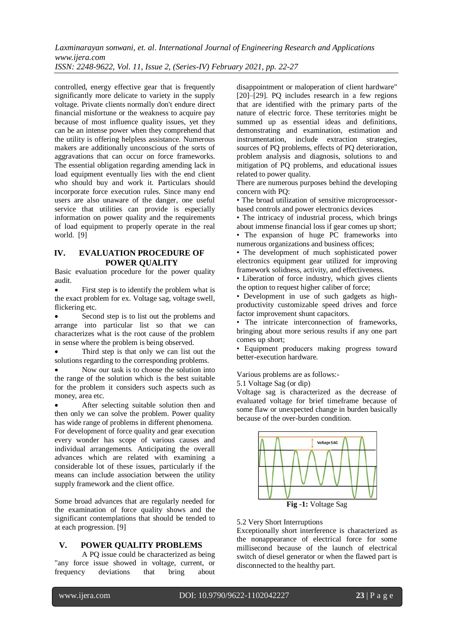controlled, energy effective gear that is frequently significantly more delicate to variety in the supply voltage. Private clients normally don't endure direct financial misfortune or the weakness to acquire pay because of most influence quality issues, yet they can be an intense power when they comprehend that the utility is offering helpless assistance. Numerous makers are additionally unconscious of the sorts of aggravations that can occur on force frameworks. The essential obligation regarding amending lack in load equipment eventually lies with the end client who should buy and work it. Particulars should incorporate force execution rules. Since many end users are also unaware of the danger, one useful service that utilities can provide is especially information on power quality and the requirements of load equipment to properly operate in the real world. [9]

## **IV. EVALUATION PROCEDURE OF POWER QUALITY**

Basic evaluation procedure for the power quality audit.

 First step is to identify the problem what is the exact problem for ex. Voltage sag, voltage swell, flickering etc.

 Second step is to list out the problems and arrange into particular list so that we can characterizes what is the root cause of the problem in sense where the problem is being observed.

 Third step is that only we can list out the solutions regarding to the corresponding problems.

 Now our task is to choose the solution into the range of the solution which is the best suitable for the problem it considers such aspects such as money, area etc.

 After selecting suitable solution then and then only we can solve the problem. Power quality has wide range of problems in different phenomena. For development of force quality and gear execution every wonder has scope of various causes and individual arrangements. Anticipating the overall advances which are related with examining a considerable lot of these issues, particularly if the means can include association between the utility supply framework and the client office.

Some broad advances that are regularly needed for the examination of force quality shows and the significant contemplations that should be tended to at each progression. [9]

# **V. POWER QUALITY PROBLEMS**

A PQ issue could be characterized as being "any force issue showed in voltage, current, or frequency deviations that bring about disappointment or maloperation of client hardware" [20]–[29]. PQ includes research in a few regions that are identified with the primary parts of the nature of electric force. These territories might be summed up as essential ideas and definitions, demonstrating and examination, estimation and instrumentation, include extraction strategies, sources of PQ problems, effects of PQ deterioration, problem analysis and diagnosis, solutions to and mitigation of PQ problems, and educational issues related to power quality.

There are numerous purposes behind the developing concern with PQ:

• The broad utilization of sensitive microprocessorbased controls and power electronics devices

• The intricacy of industrial process, which brings about immense financial loss if gear comes up short;

• The expansion of huge PC frameworks into numerous organizations and business offices;

• The development of much sophisticated power electronics equipment gear utilized for improving framework solidness, activity, and effectiveness.

• Liberation of force industry, which gives clients the option to request higher caliber of force;

• Development in use of such gadgets as highproductivity customizable speed drives and force factor improvement shunt capacitors.

• The intricate interconnection of frameworks, bringing about more serious results if any one part comes up short;

• Equipment producers making progress toward better-execution hardware.

Various problems are as follows:-

5.1 Voltage Sag (or dip)

Voltage sag is characterized as the decrease of evaluated voltage for brief timeframe because of some flaw or unexpected change in burden basically because of the over-burden condition.



5.2 Very Short Interruptions

Exceptionally short interference is characterized as the nonappearance of electrical force for some millisecond because of the launch of electrical switch of diesel generator or when the flawed part is disconnected to the healthy part.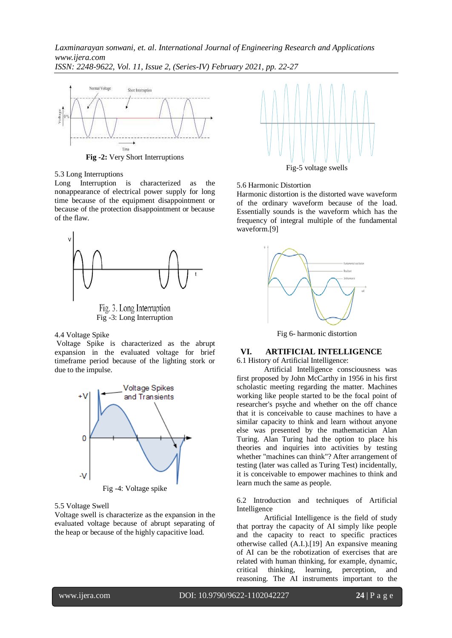

5.3 Long Interruptions

Long Interruption is characterized as the nonappearance of electrical power supply for long time because of the equipment disappointment or because of the protection disappointment or because of the flaw.



4.4 Voltage Spike

Voltage Spike is characterized as the abrupt expansion in the evaluated voltage for brief timeframe period because of the lighting stork or due to the impulse.



5.5 Voltage Swell

Voltage swell is characterize as the expansion in the evaluated voltage because of abrupt separating of the heap or because of the highly capacitive load.



#### 5.6 Harmonic Distortion

Harmonic distortion is the distorted wave waveform of the ordinary waveform because of the load. Essentially sounds is the waveform which has the frequency of integral multiple of the fundamental waveform.[9]



Fig 6- harmonic distortion

# **VI. ARTIFICIAL INTELLIGENCE**

6.1 History of Artificial Intelligence: Artificial Intelligence consciousness was first proposed by John McCarthy in 1956 in his first scholastic meeting regarding the matter. Machines working like people started to be the focal point of researcher's psyche and whether on the off chance that it is conceivable to cause machines to have a similar capacity to think and learn without anyone else was presented by the mathematician Alan Turing. Alan Turing had the option to place his theories and inquiries into activities by testing whether "machines can think"? After arrangement of testing (later was called as Turing Test) incidentally, it is conceivable to empower machines to think and learn much the same as people.

6.2 Introduction and techniques of Artificial Intelligence

Artificial Intelligence is the field of study that portray the capacity of AI simply like people and the capacity to react to specific practices otherwise called (A.I.).[19] An expansive meaning of AI can be the robotization of exercises that are related with human thinking, for example, dynamic, critical thinking, learning, perception, and reasoning. The AI instruments important to the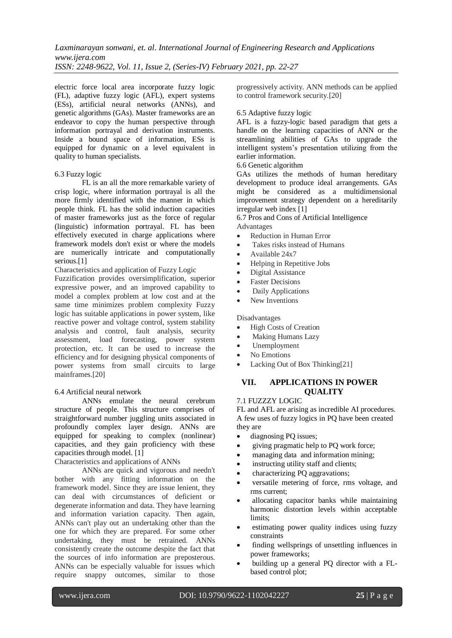electric force local area incorporate fuzzy logic (FL), adaptive fuzzy logic (AFL), expert systems (ESs), artificial neural networks (ANNs), and genetic algorithms (GAs). Master frameworks are an endeavor to copy the human perspective through information portrayal and derivation instruments. Inside a bound space of information, ESs is equipped for dynamic on a level equivalent in quality to human specialists.

#### 6.3 Fuzzy logic

FL is an all the more remarkable variety of crisp logic, where information portrayal is all the more firmly identified with the manner in which people think. FL has the solid induction capacities of master frameworks just as the force of regular (linguistic) information portrayal. FL has been effectively executed in charge applications where framework models don't exist or where the models are numerically intricate and computationally serious.<sup>[1]</sup>

Characteristics and application of Fuzzy Logic

Fuzzification provides oversimplification, superior expressive power, and an improved capability to model a complex problem at low cost and at the same time minimizes problem complexity Fuzzy logic has suitable applications in power system, like reactive power and voltage control, system stability analysis and control, fault analysis, security assessment, load forecasting, power system protection, etc. It can be used to increase the efficiency and for designing physical components of power systems from small circuits to large mainframes.[20]

#### 6.4 Artificial neural network

ANNs emulate the neural cerebrum structure of people. This structure comprises of straightforward number juggling units associated in profoundly complex layer design. ANNs are equipped for speaking to complex (nonlinear) capacities, and they gain proficiency with these capacities through model. [1]

Characteristics and applications of ANNs

ANNs are quick and vigorous and needn't bother with any fitting information on the framework model. Since they are issue lenient, they can deal with circumstances of deficient or degenerate information and data. They have learning and information variation capacity. Then again, ANNs can't play out an undertaking other than the one for which they are prepared. For some other undertaking, they must be retrained. ANNs consistently create the outcome despite the fact that the sources of info information are preposterous. ANNs can be especially valuable for issues which require snappy outcomes, similar to those progressively activity. ANN methods can be applied to control framework security.[20]

### 6.5 Adaptive fuzzy logic

AFL is a fuzzy-logic based paradigm that gets a handle on the learning capacities of ANN or the streamlining abilities of GAs to upgrade the intelligent system's presentation utilizing from the earlier information.

6.6 Genetic algorithm

GAs utilizes the methods of human hereditary development to produce ideal arrangements. GAs might be considered as a multidimensional improvement strategy dependent on a hereditarily irregular web index [1]

6.7 Pros and Cons of Artificial Intelligence Advantages

- Reduction in Human Error
- Takes risks instead of Humans
- Available 24x7
- Helping in Repetitive Jobs
- Digital Assistance
- Faster Decisions
- Daily Applications
- New Inventions

Disadvantages

- High Costs of Creation
- Making Humans Lazy
- Unemployment
- No Emotions
- Lacking Out of Box Thinking[21]

# **VII. APPLICATIONS IN POWER QUALITY**

#### 7.1 FUZZZY LOGIC

FL and AFL are arising as incredible AI procedures. A few uses of fuzzy logics in PQ have been created they are

- diagnosing PQ issues;
- giving pragmatic help to PQ work force;
- managing data and information mining;
- instructing utility staff and clients;
- characterizing PQ aggravations;
- versatile metering of force, rms voltage, and rms current;
- allocating capacitor banks while maintaining harmonic distortion levels within acceptable limits;
- estimating power quality indices using fuzzy constraints
- finding wellsprings of unsettling influences in power frameworks;
- building up a general PQ director with a FLbased control plot;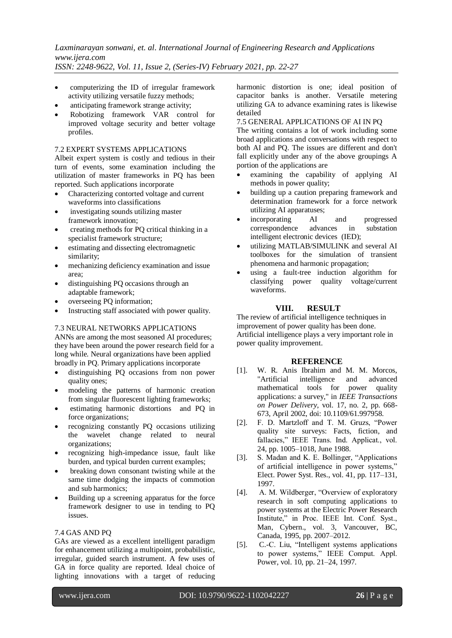- computerizing the ID of irregular framework activity utilizing versatile fuzzy methods;
- anticipating framework strange activity;
- Robotizing framework VAR control for improved voltage security and better voltage profiles.

#### 7.2 EXPERT SYSTEMS APPLICATIONS

Albeit expert system is costly and tedious in their turn of events, some examination including the utilization of master frameworks in PQ has been reported. Such applications incorporate

- Characterizing contorted voltage and current waveforms into classifications
- investigating sounds utilizing master framework innovation;
- creating methods for PQ critical thinking in a specialist framework structure;
- estimating and dissecting electromagnetic similarity;
- mechanizing deficiency examination and issue area;
- distinguishing PQ occasions through an adaptable framework;
- overseeing PQ information;
- Instructing staff associated with power quality.

## 7.3 NEURAL NETWORKS APPLICATIONS

ANNs are among the most seasoned AI procedures; they have been around the power research field for a long while. Neural organizations have been applied broadly in PQ. Primary applications incorporate

- distinguishing PQ occasions from non power quality ones;
- modeling the patterns of harmonic creation from singular fluorescent lighting frameworks;
- estimating harmonic distortions and PQ in force organizations;
- recognizing constantly PQ occasions utilizing the wavelet change related to neural organizations;
- recognizing high-impedance issue, fault like burden, and typical burden current examples;
- breaking down consonant twisting while at the same time dodging the impacts of commotion and sub harmonics;
- Building up a screening apparatus for the force framework designer to use in tending to PQ issues.

#### 7.4 GAS AND PQ

GAs are viewed as a excellent intelligent paradigm for enhancement utilizing a multipoint, probabilistic, irregular, guided search instrument. A few uses of GA in force quality are reported. Ideal choice of lighting innovations with a target of reducing harmonic distortion is one; ideal position of capacitor banks is another. Versatile metering utilizing GA to advance examining rates is likewise detailed

7.5 GENERAL APPLICATIONS OF AI IN PQ

The writing contains a lot of work including some broad applications and conversations with respect to both AI and PQ. The issues are different and don't fall explicitly under any of the above groupings A portion of the applications are

- examining the capability of applying AI methods in power quality;
- building up a caution preparing framework and determination framework for a force network utilizing AI apparatuses;
- incorporating AI and progressed correspondence advances in substation intelligent electronic devices (IED);
- utilizing MATLAB/SIMULINK and several AI toolboxes for the simulation of transient phenomena and harmonic propagation;
- using a fault-tree induction algorithm for classifying power quality voltage/current waveforms.

## **VIII. RESULT**

The review of artificial intelligence techniques in improvement of power quality has been done. Artificial intelligence plays a very important role in power quality improvement.

#### **REFERENCE**

- [1]. W. R. Anis Ibrahim and M. M. Morcos, "Artificial intelligence and advanced mathematical tools for power quality applications: a survey," in *IEEE Transactions on Power Delivery*, vol. 17, no. 2, pp. 668- 673, April 2002, doi: 10.1109/61.997958.
- [2]. F. D. Martzloff and T. M. Gruzs, "Power quality site surveys: Facts, fiction, and fallacies," IEEE Trans. Ind. Applicat., vol. 24, pp. 1005–1018, June 1988.
- [3]. S. Madan and K. E. Bollinger, "Applications of artificial intelligence in power systems," Elect. Power Syst. Res., vol. 41, pp. 117–131, 1997.
- [4]. A. M. Wildberger, "Overview of exploratory research in soft computing applications to power systems at the Electric Power Research Institute," in Proc. IEEE Int. Conf. Syst., Man, Cybern., vol. 3, Vancouver, BC, Canada, 1995, pp. 2007–2012.
- [5]. C.-C. Liu, "Intelligent systems applications to power systems," IEEE Comput. Appl. Power, vol. 10, pp. 21–24, 1997.